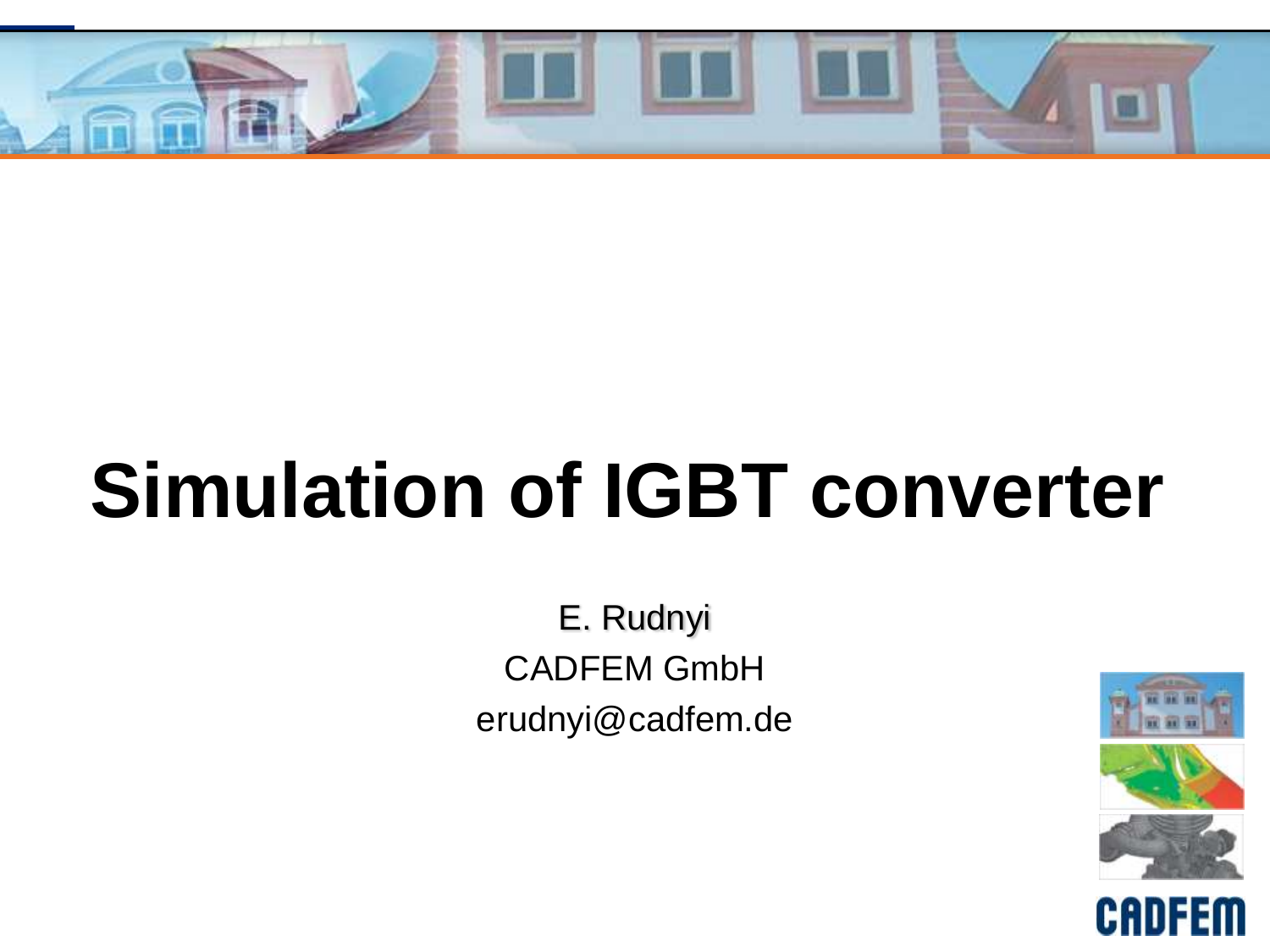

# **Simulation of IGBT converter**

E. Rudnyi CADFEM GmbH erudnyi@cadfem.de

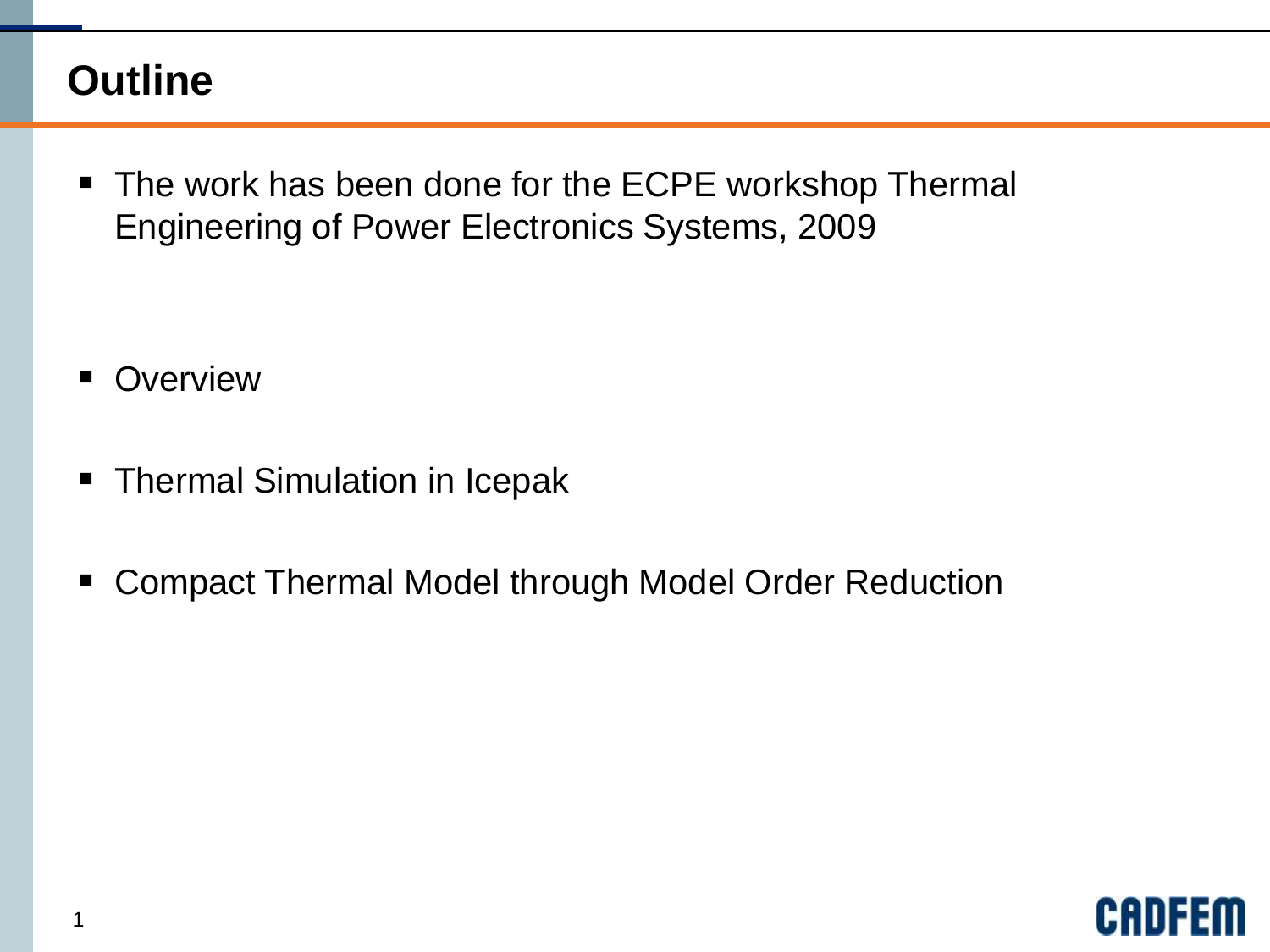### **Outline**

■ The work has been done for the ECPE workshop Thermal Engineering of Power Electronics Systems, 2009

- **Overview**
- Thermal Simulation in Icepak
- Compact Thermal Model through Model Order Reduction

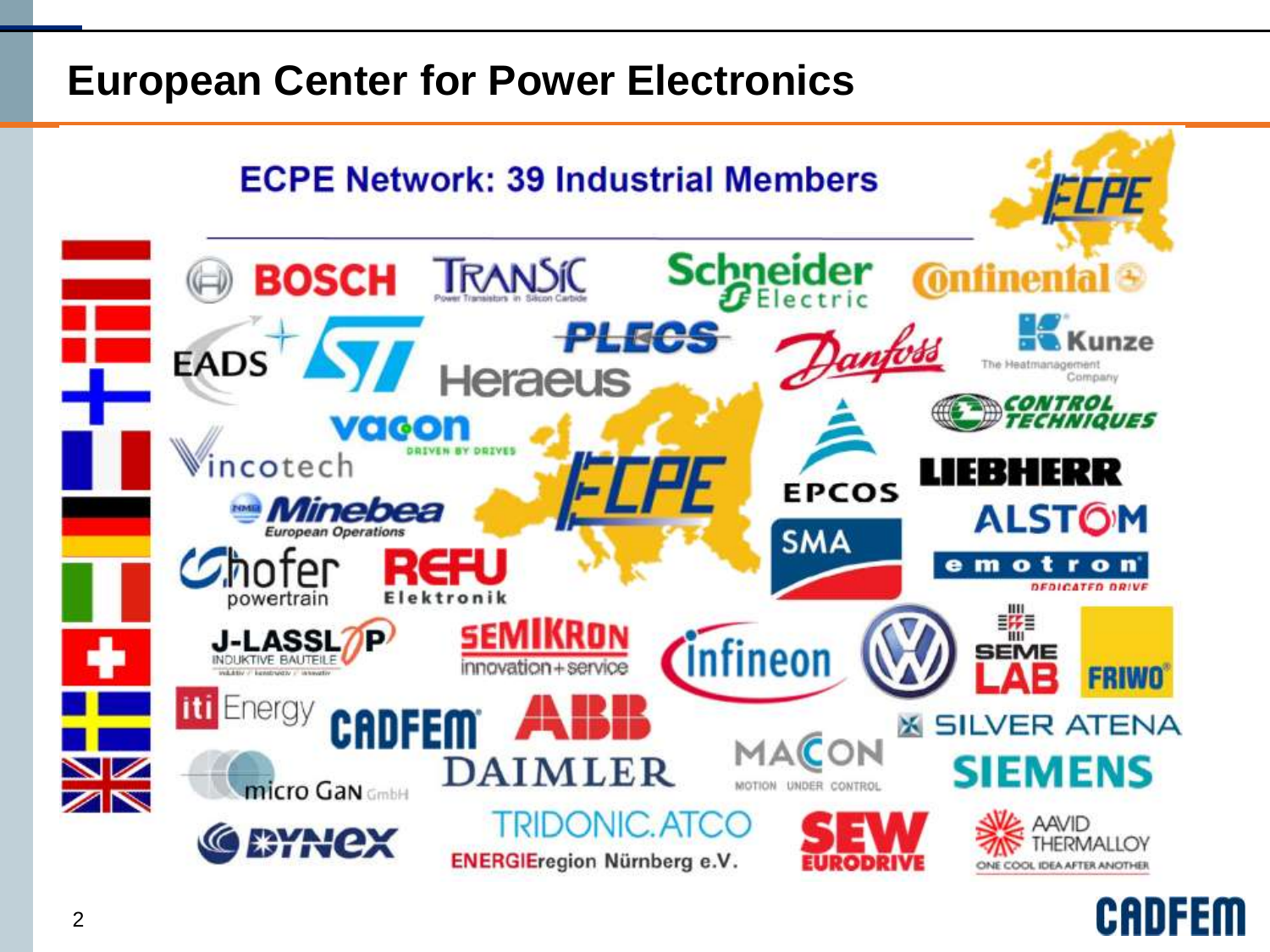#### **European Center for Power Electronics**



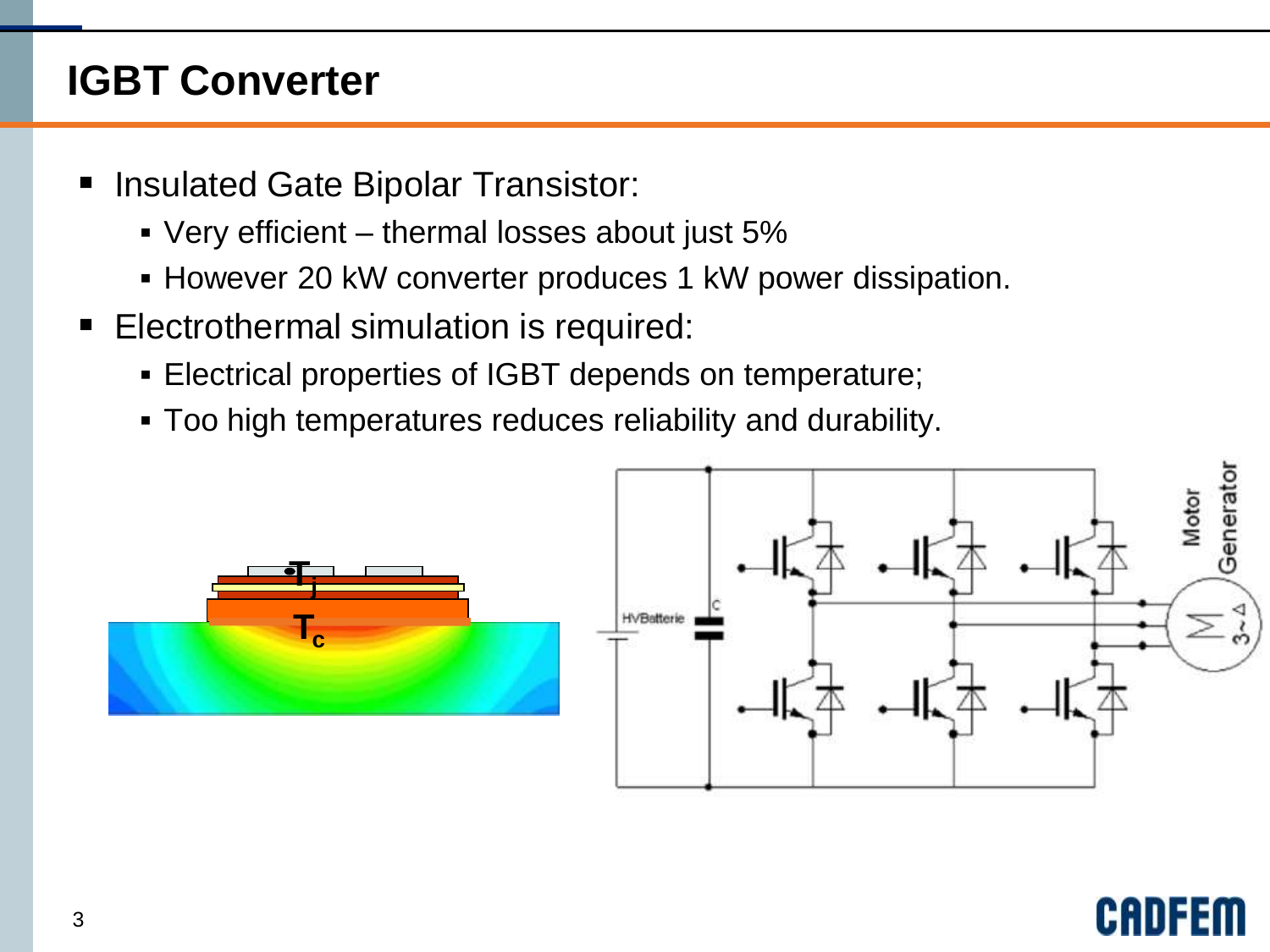# **IGBT Converter**

- Insulated Gate Bipolar Transistor:
	- Very efficient thermal losses about just 5%
	- **However 20 kW converter produces 1 kW power dissipation.**
- **Electrothermal simulation is required:** 
	- Electrical properties of IGBT depends on temperature;
	- Too high temperatures reduces reliability and durability.





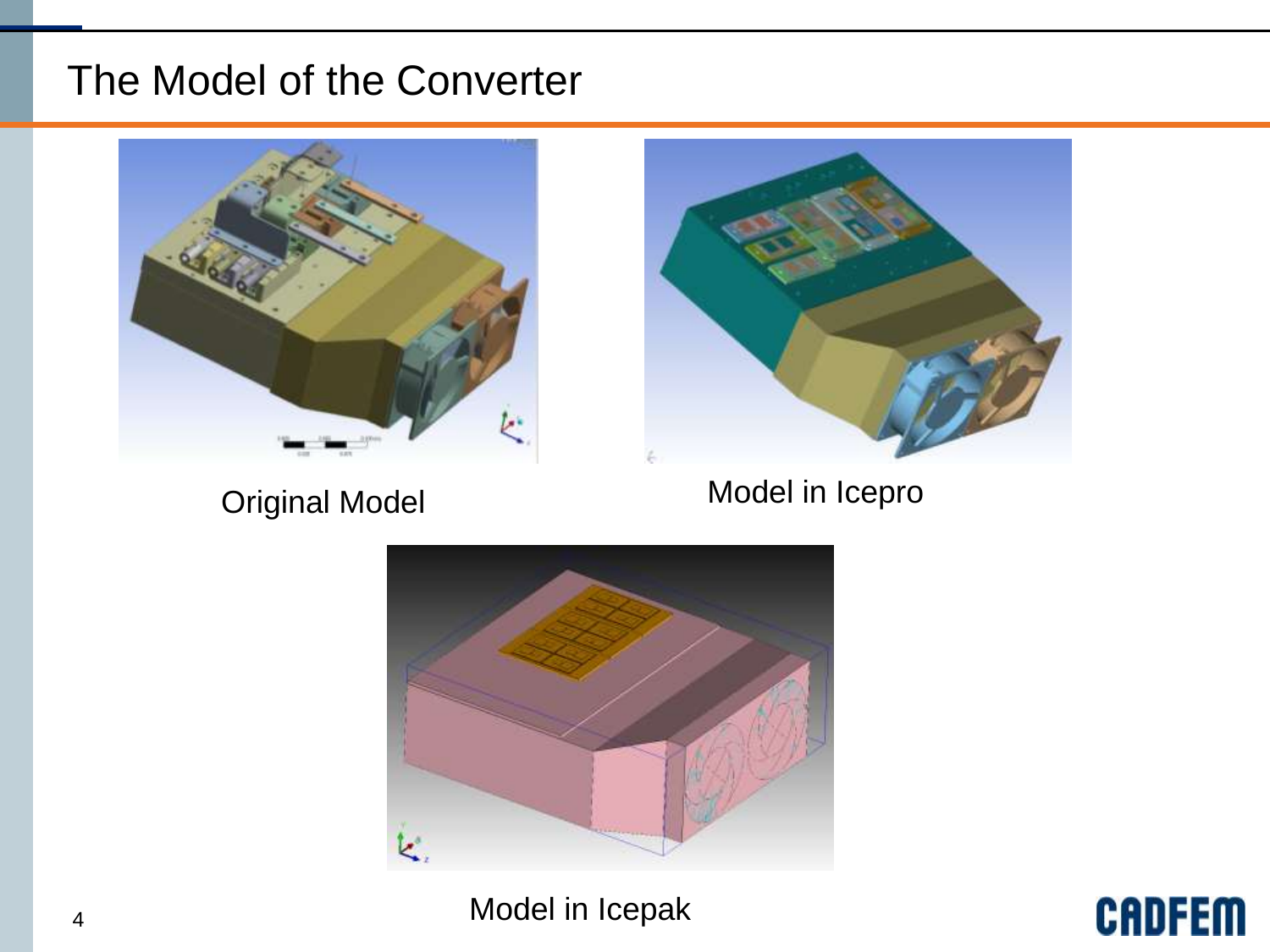#### The Model of the Converter



Original Model **Model** Model in Icepro



Model in Icepak

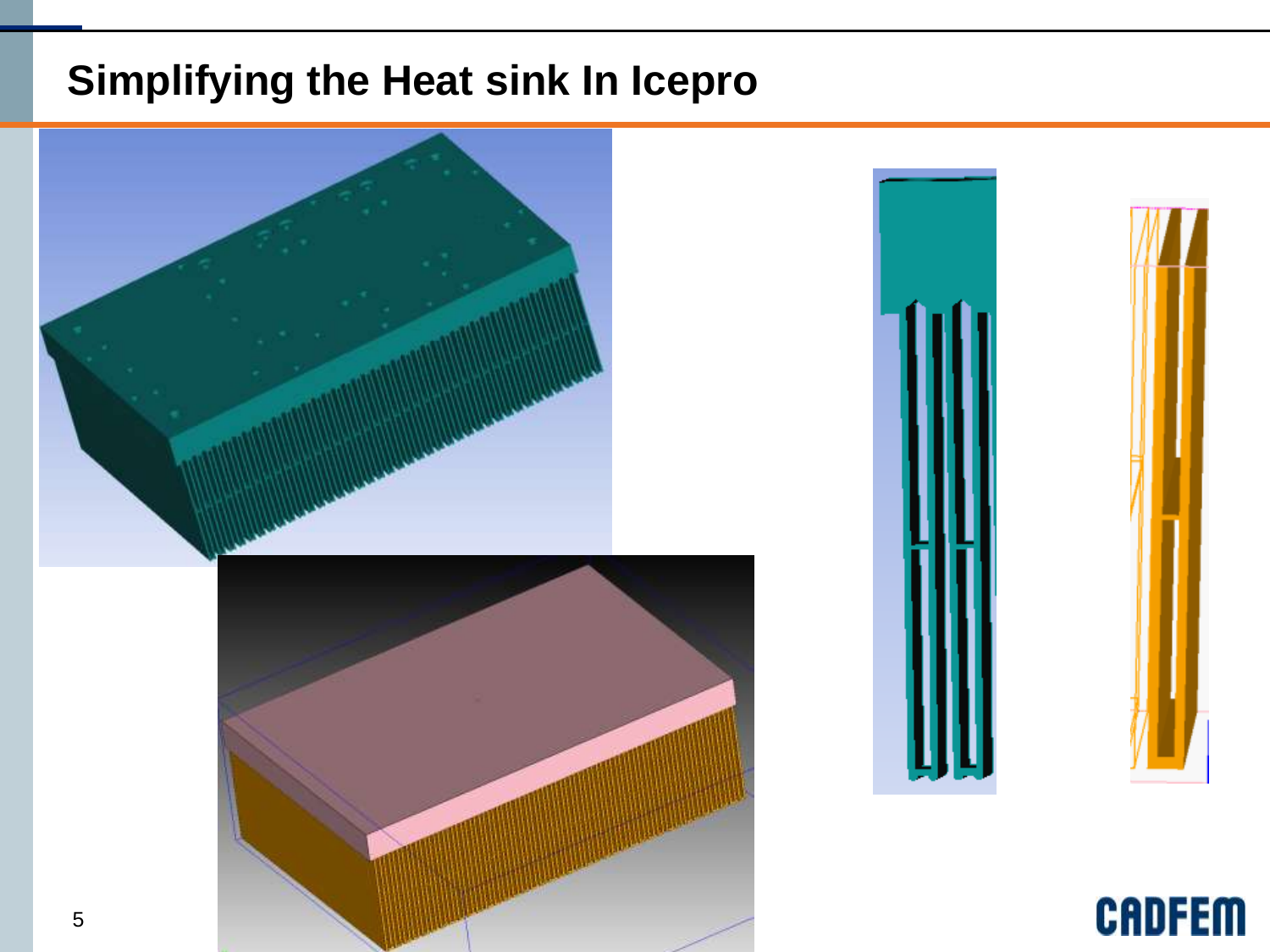# **Simplifying the Heat sink In Icepro**

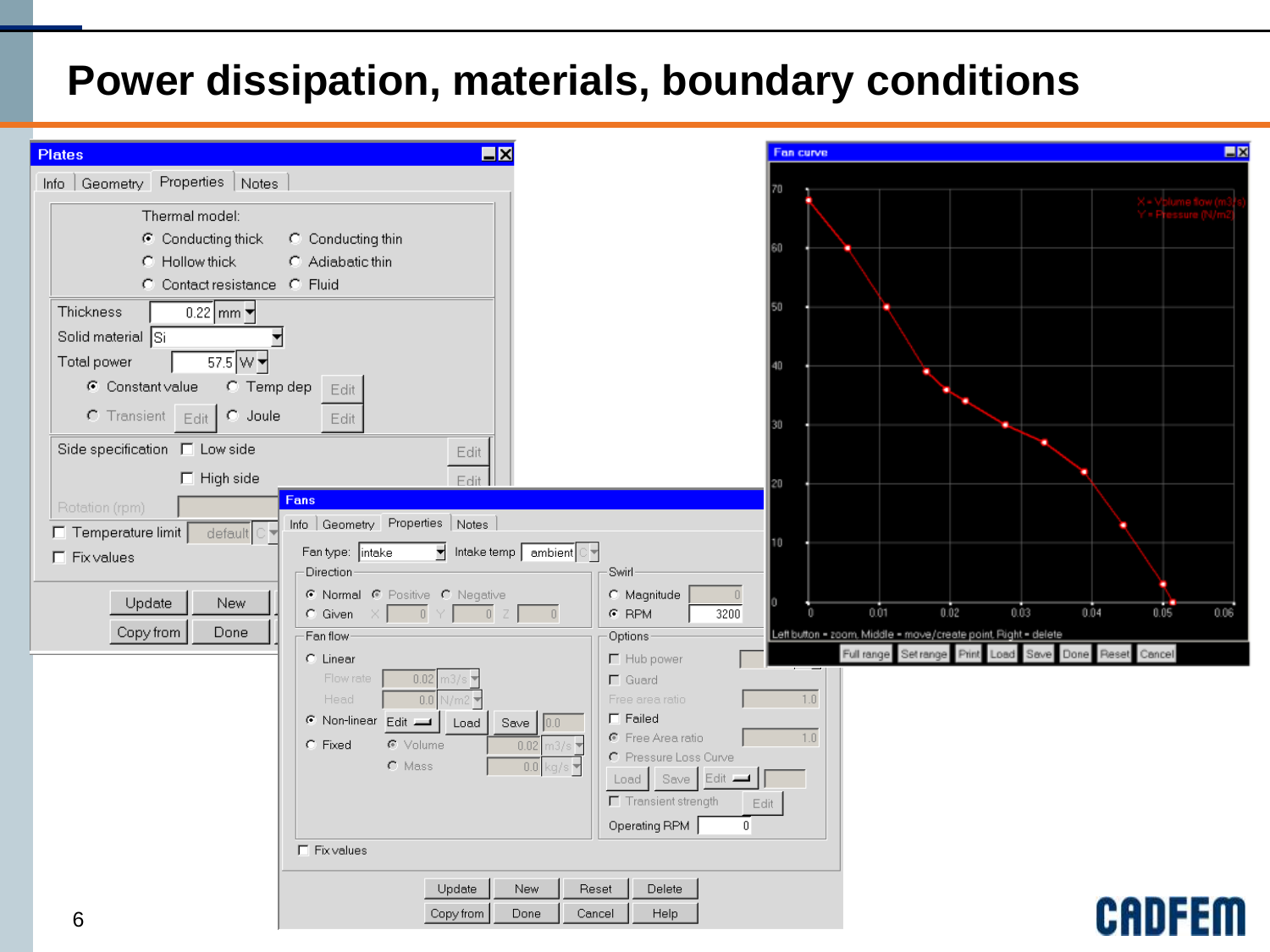#### **Power dissipation, materials, boundary conditions**

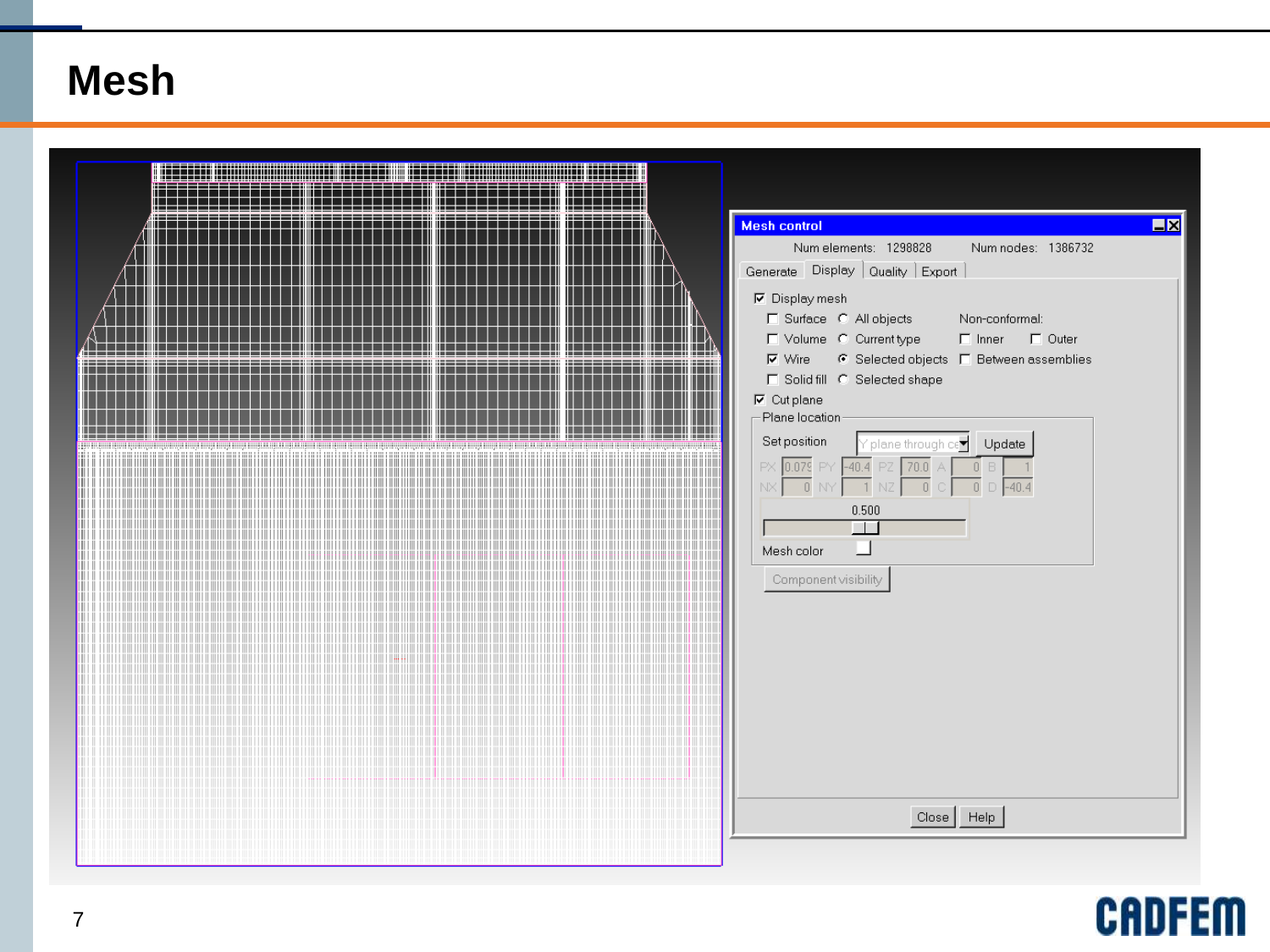#### **Mesh**

|    | <b>Mesh control</b><br>$\Box$<br>Num elements: 1298828<br>Num nodes: 1386732<br>Generate Display   Quality   Export  <br>$\nabla$ Display mesh<br>□ Surface C All objects<br>Non-conformal:<br>Volume C Currenttype<br>□ □ Inner □ □ Outer<br>$\nabla$ Wire $\qquad$ G Selected objects $\Gamma$ Between assemblies<br>E Solid fill C Selected shape<br>$\nabla$ Cut plane<br>-Plane location<br>Set position<br>$\gamma$ plane through ce $\blacktriangledown$ |
|----|-----------------------------------------------------------------------------------------------------------------------------------------------------------------------------------------------------------------------------------------------------------------------------------------------------------------------------------------------------------------------------------------------------------------------------------------------------------------|
| ШI | Update<br>PX 0.079 PY<br>$-40.4$<br>70.0<br>$-40.4$<br>0.500<br>$\Box$<br>Mesh color<br>Component visibility<br>Close   Help                                                                                                                                                                                                                                                                                                                                    |

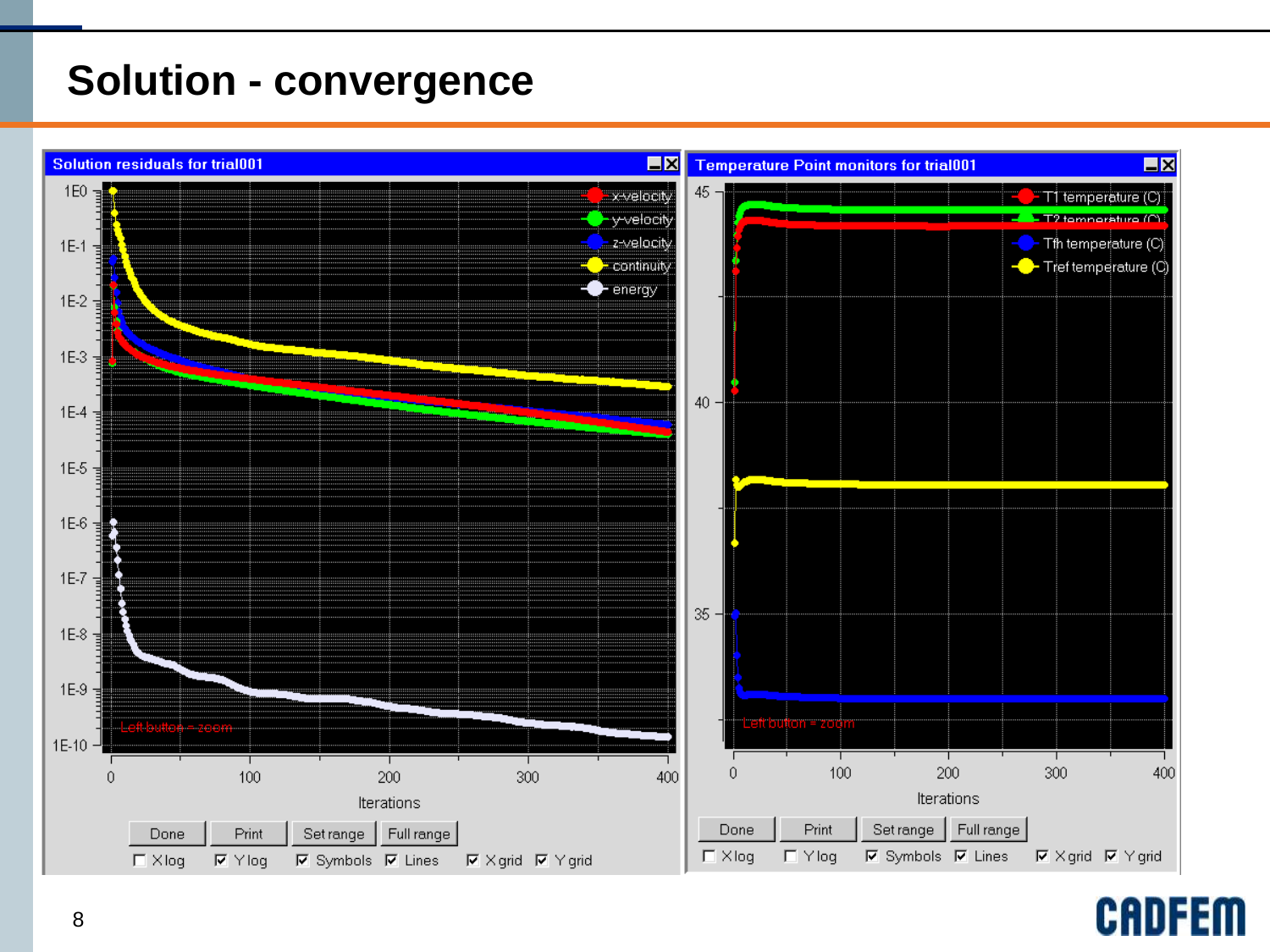### **Solution - convergence**



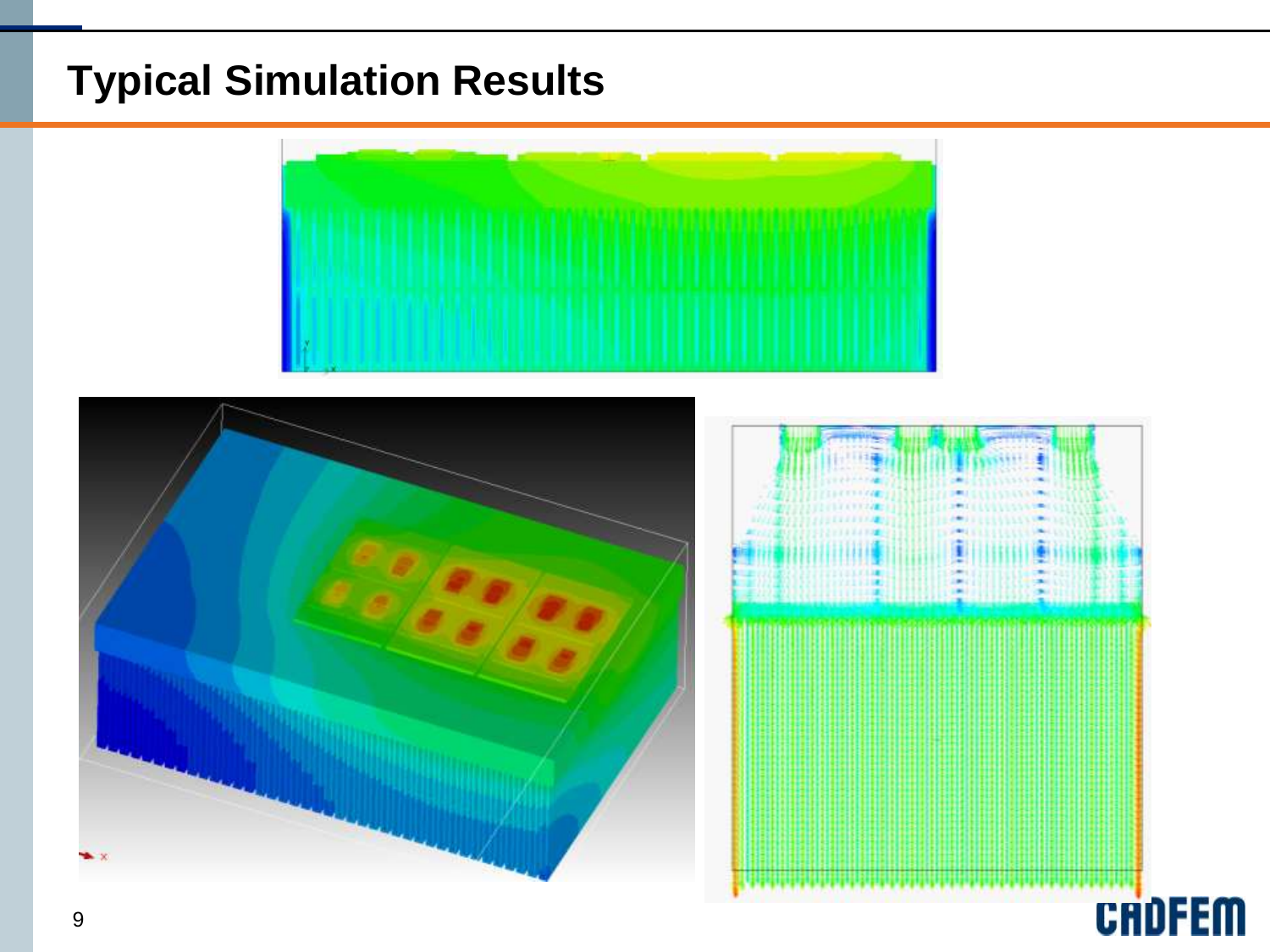# **Typical Simulation Results**





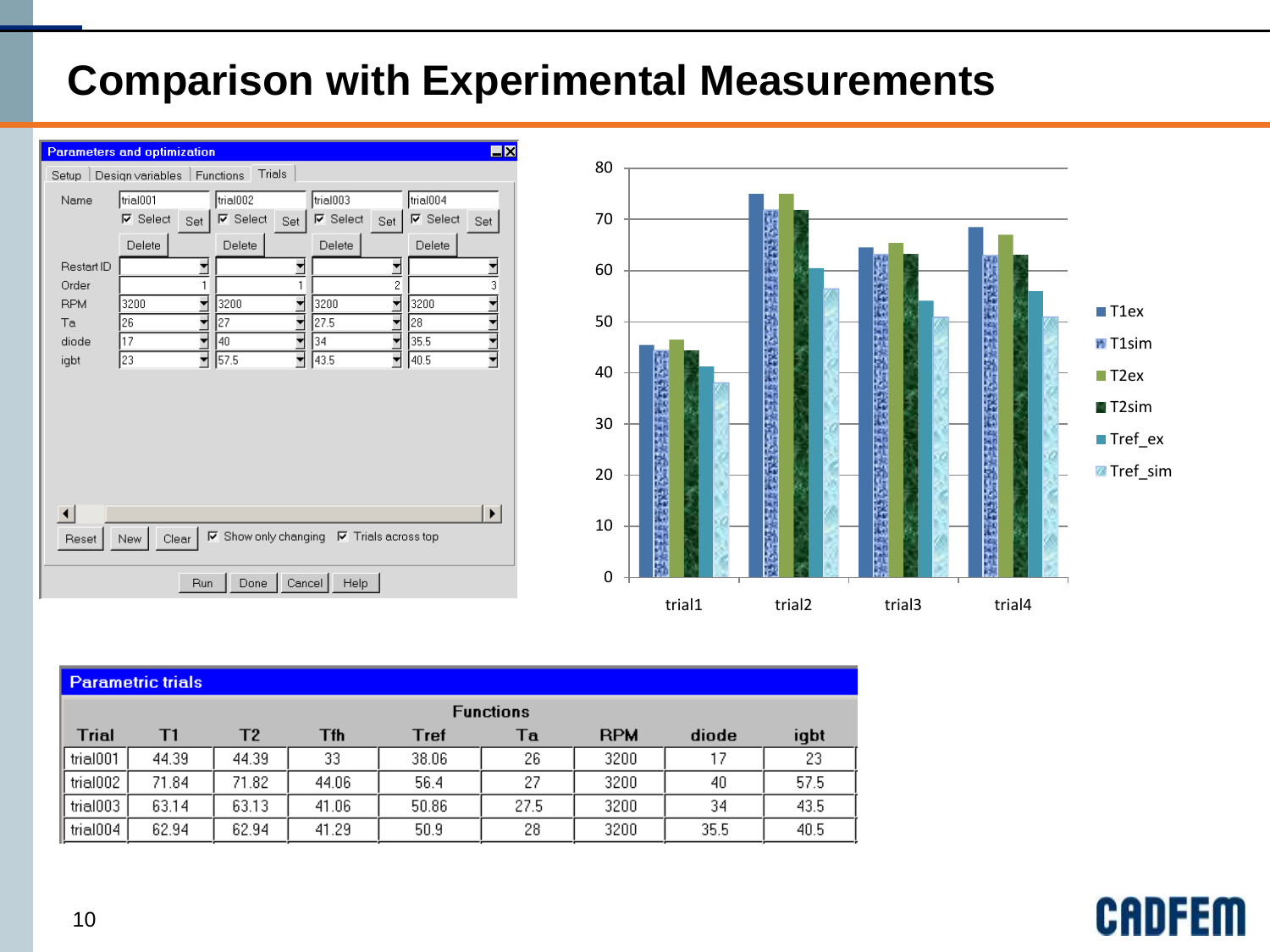#### **Comparison with Experimental Measurements**





| <b>Parametric trials</b> |                  |       |       |       |      |            |       |      |  |  |  |
|--------------------------|------------------|-------|-------|-------|------|------------|-------|------|--|--|--|
|                          | <b>Functions</b> |       |       |       |      |            |       |      |  |  |  |
| <b>Trial</b>             | Τ1               | Т2    | Tfh   | Tref  | Тa   | <b>RPM</b> | diode | igbt |  |  |  |
| $\parallel$ trial001     | 44.39            | 44.39 | 33    | 38.06 | 26   | 3200       | 17    | 23   |  |  |  |
| $\parallel$ trial002     | 71.84            | 71.82 | 44.06 | 56.4  | 27   | 3200       | 40    | 57.5 |  |  |  |
| $\parallel$ trial003     | 63.14            | 63.13 | 41.06 | 50.86 | 27.5 | 3200       | 34    | 43.5 |  |  |  |
| $\parallel$ trial004     | 62.94            | 62.94 | 41.29 | 50.9  | 28   | 3200       | 35.5  | 40.5 |  |  |  |

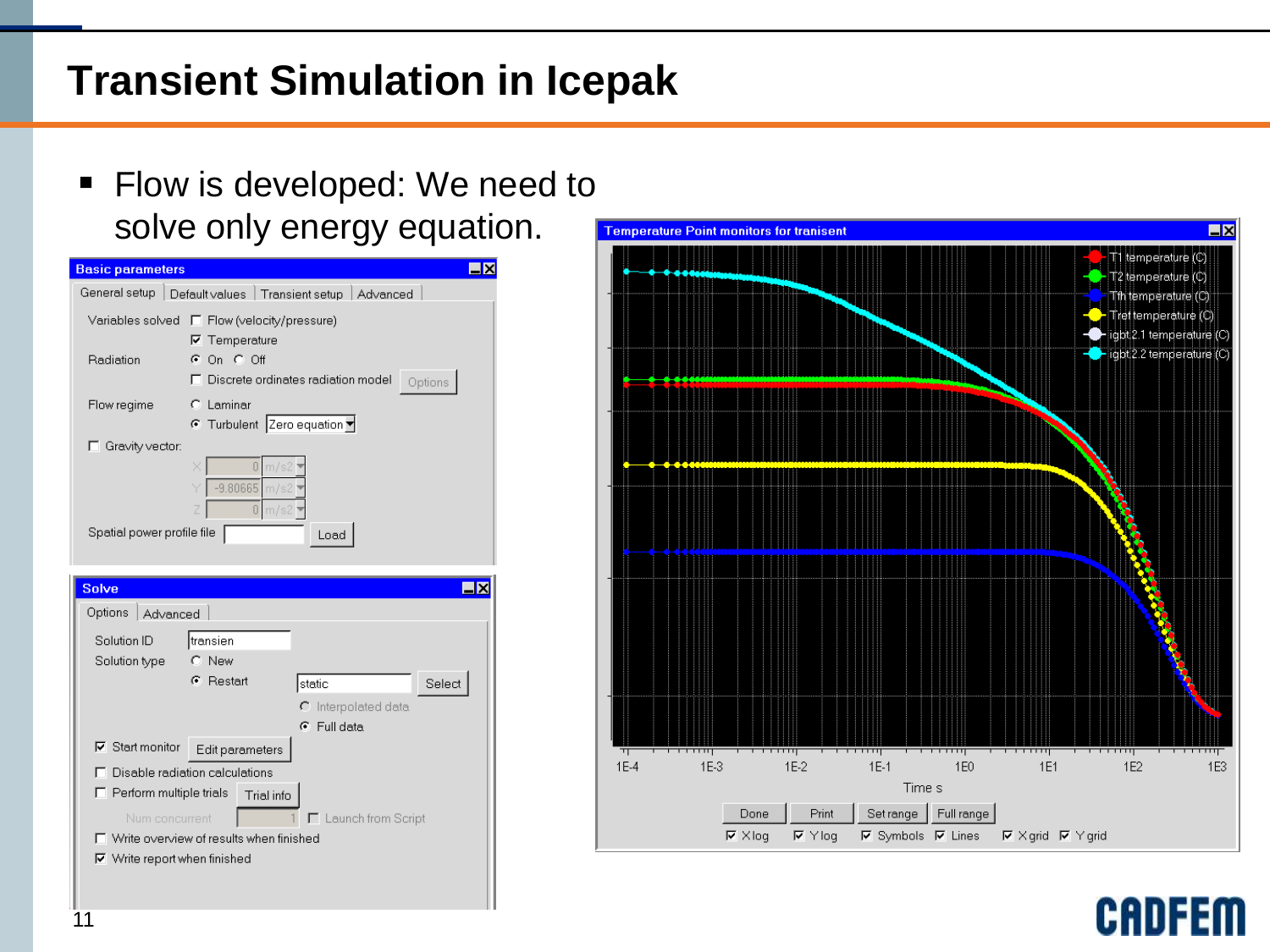# **Transient Simulation in Icepak**

#### **Filow is developed: We need to** solve only energy equation.







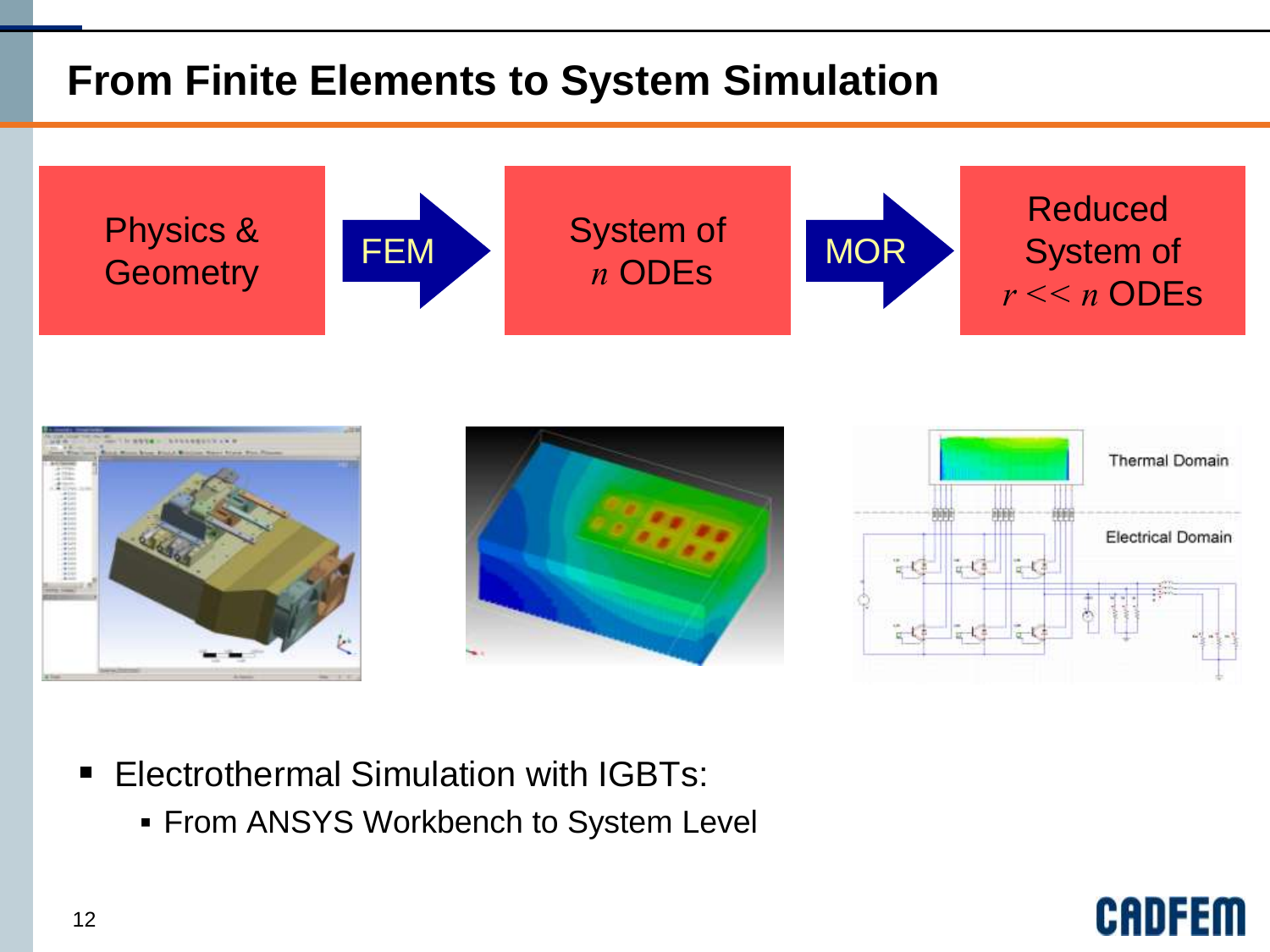# **From Finite Elements to System Simulation**





- **Electrothermal Simulation with IGBTs:** 
	- **From ANSYS Workbench to System Level**

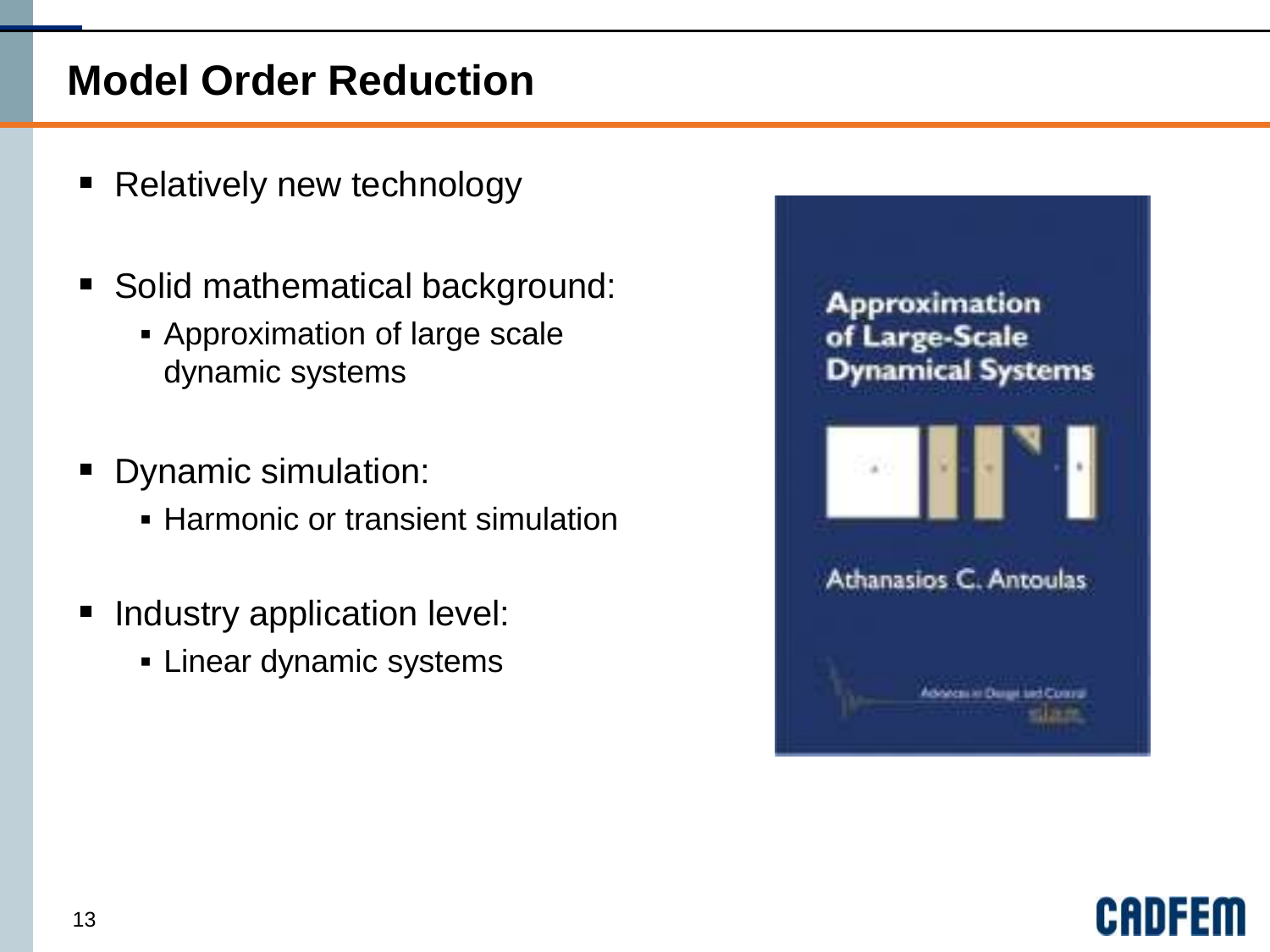#### **Model Order Reduction**

- Relatively new technology
- **Solid mathematical background:** 
	- Approximation of large scale dynamic systems
- **Dynamic simulation:** 
	- **Harmonic or transient simulation**
- **Industry application level:** 
	- **Linear dynamic systems**



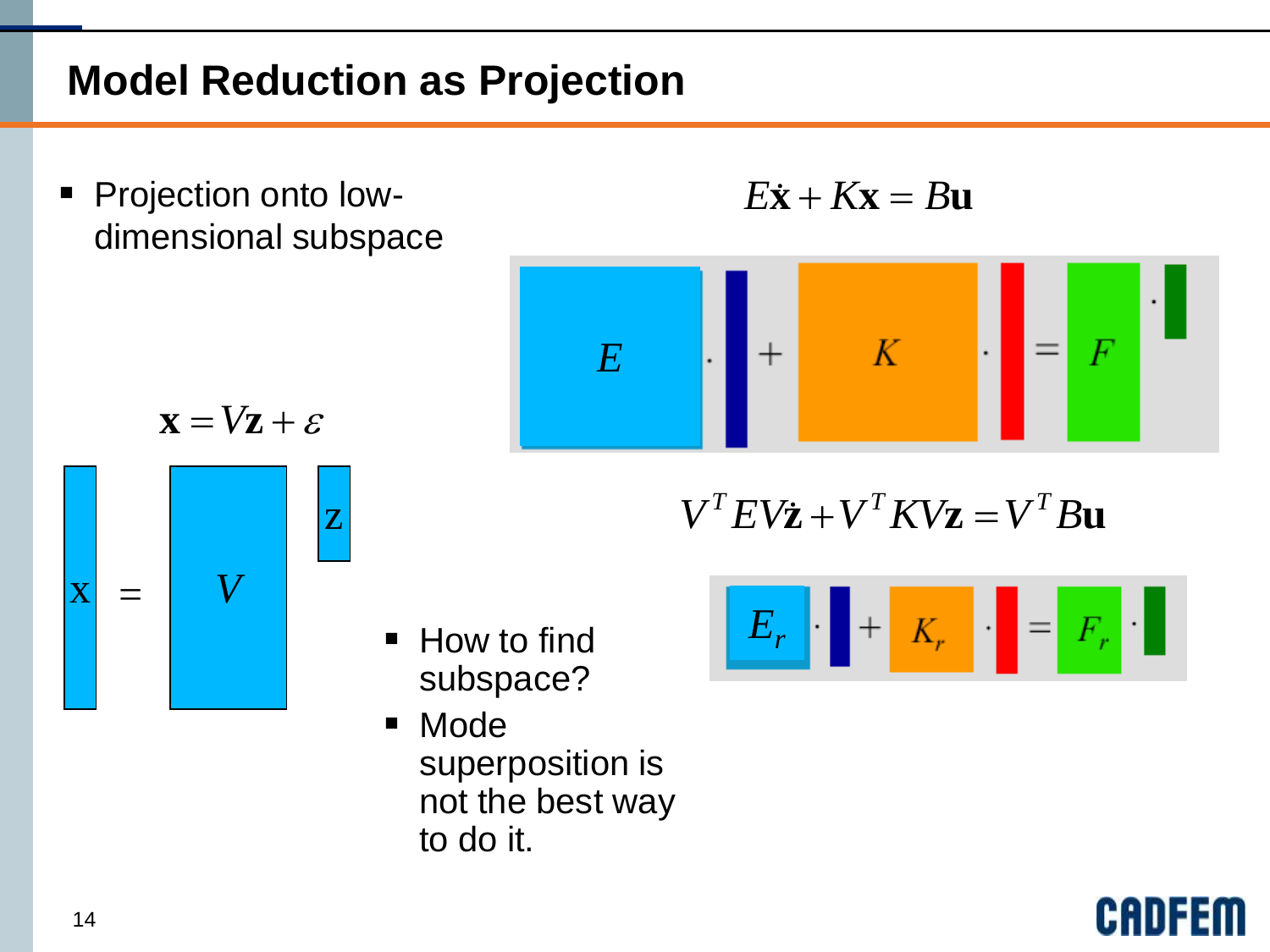# **Model Reduction as Projection**

■ How to find

■ Mode

to do it.

subspace?

superposition is

not the best way

**Projection onto low**dimensional subspace

$$
E\dot{\mathbf{x}} + K\mathbf{x} = B\mathbf{u}
$$



$$
\mathbf{x} = V\mathbf{z} + \varepsilon
$$



 $V^T E V \dot{\mathbf{z}} + V^T K V \mathbf{z} = V^T B \mathbf{u}$ 

$$
E_r \parallel + |K_r| \parallel = |F_r| \cdot \parallel
$$

CAI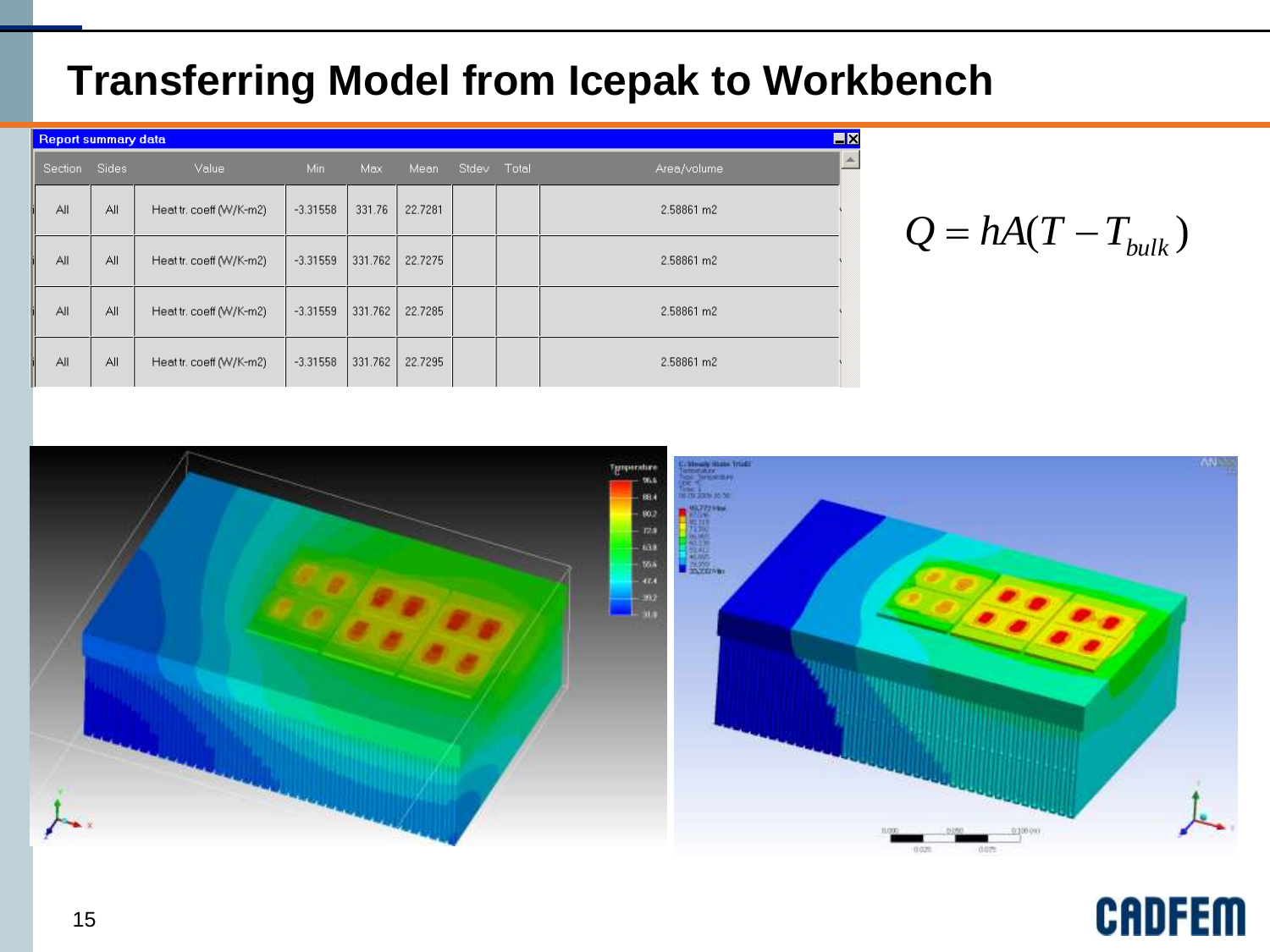#### **Transferring Model from Icepak to Workbench**

|         | <b>Report summary data</b> |                         |            |         |         |             |  |             |          |
|---------|----------------------------|-------------------------|------------|---------|---------|-------------|--|-------------|----------|
| Section | Sides<br>Value             |                         | Min.       | Max     | Mean    | Stdev Total |  | Area/volume | $\equiv$ |
| All     | All                        | Heat tr. coeff (W/K-m2) | $-3.31558$ | 331.76  | 22.7281 |             |  | 2.58861 m2  |          |
| All     | All                        | Heat tr. coeff (W/K-m2) | $-3.31559$ | 331.762 | 22.7275 |             |  | 2.58861 m2  |          |
| All     | All                        | Heat tr. coeff (W/K-m2) | $-3.31559$ | 331.762 | 22.7285 |             |  | 2.58861 m2  |          |
| All     | All                        | Heat tr. coeff (W/K-m2) | $-3.31558$ | 331.762 | 22.7295 |             |  | 2.58861 m2  |          |



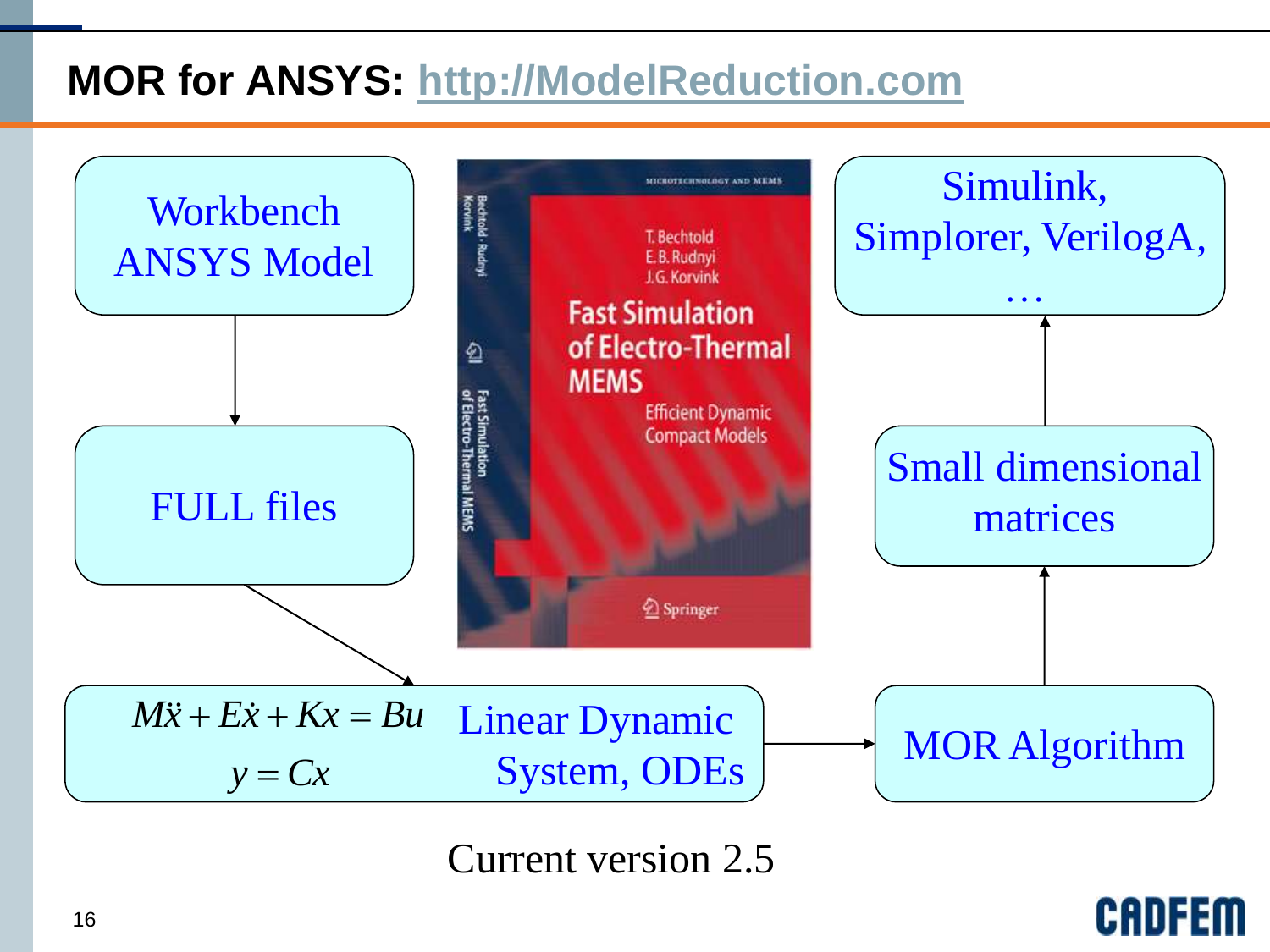# **MOR for ANSYS: [http://ModelReduction.com](http://modelreduction.com/)**



Current version 2.5

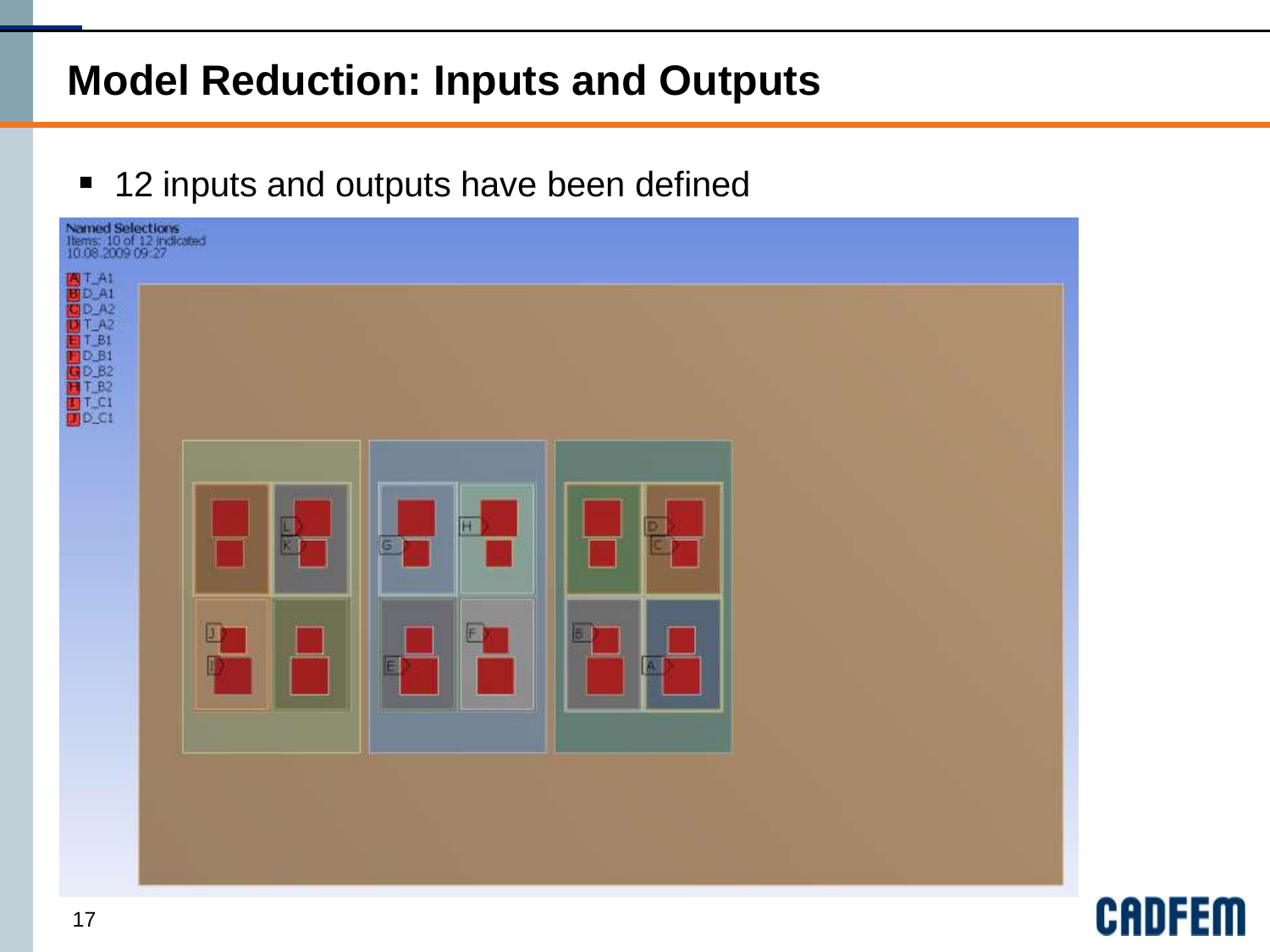# **Model Reduction: Inputs and Outputs**

■ 12 inputs and outputs have been defined



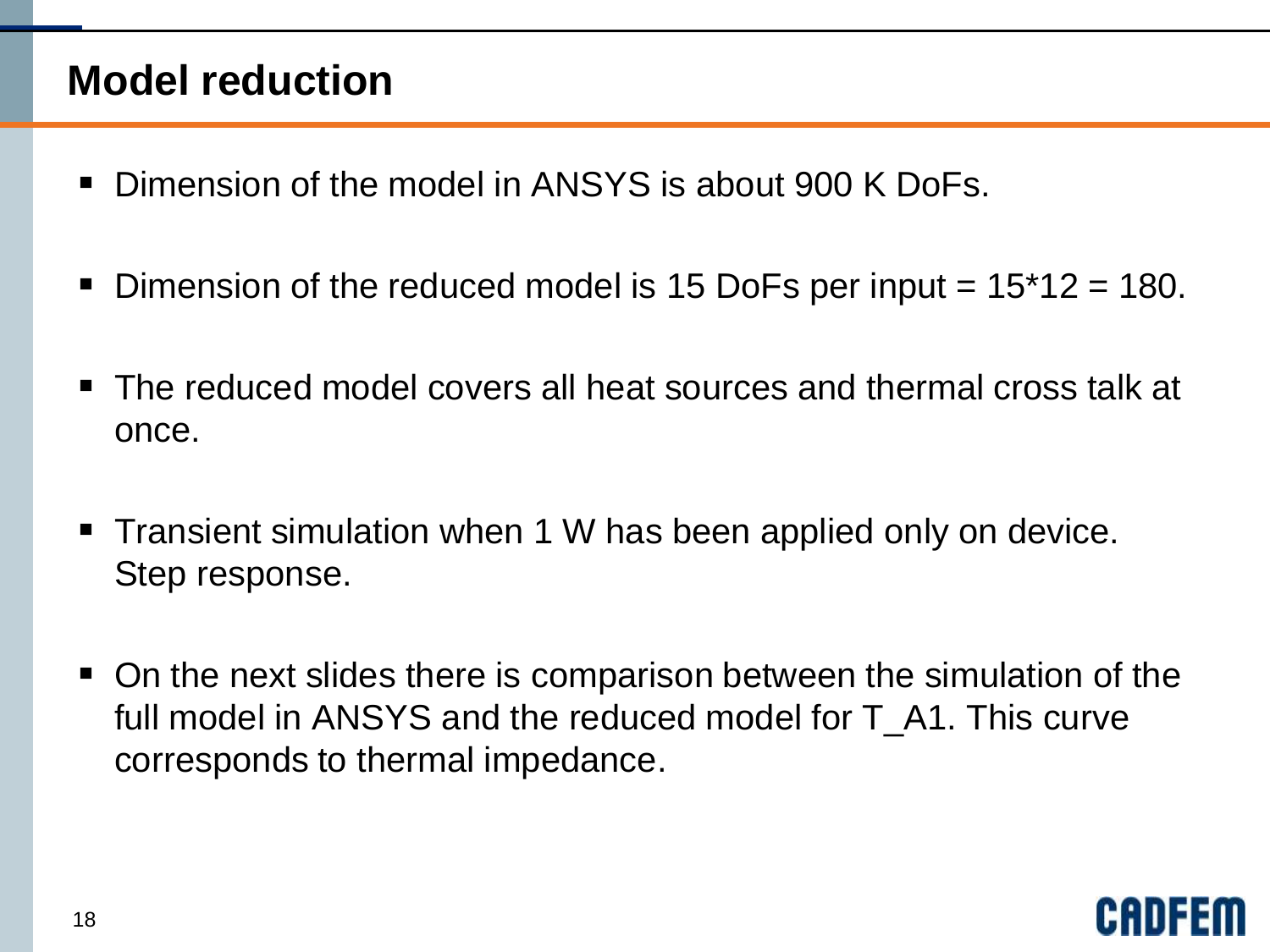#### **Model reduction**

- Dimension of the model in ANSYS is about 900 K DoFs.
- Dimension of the reduced model is 15 DoFs per input  $= 15*12 = 180$ .
- The reduced model covers all heat sources and thermal cross talk at once.
- **Transient simulation when 1 W has been applied only on device.** Step response.
- On the next slides there is comparison between the simulation of the full model in ANSYS and the reduced model for T A1. This curve corresponds to thermal impedance.

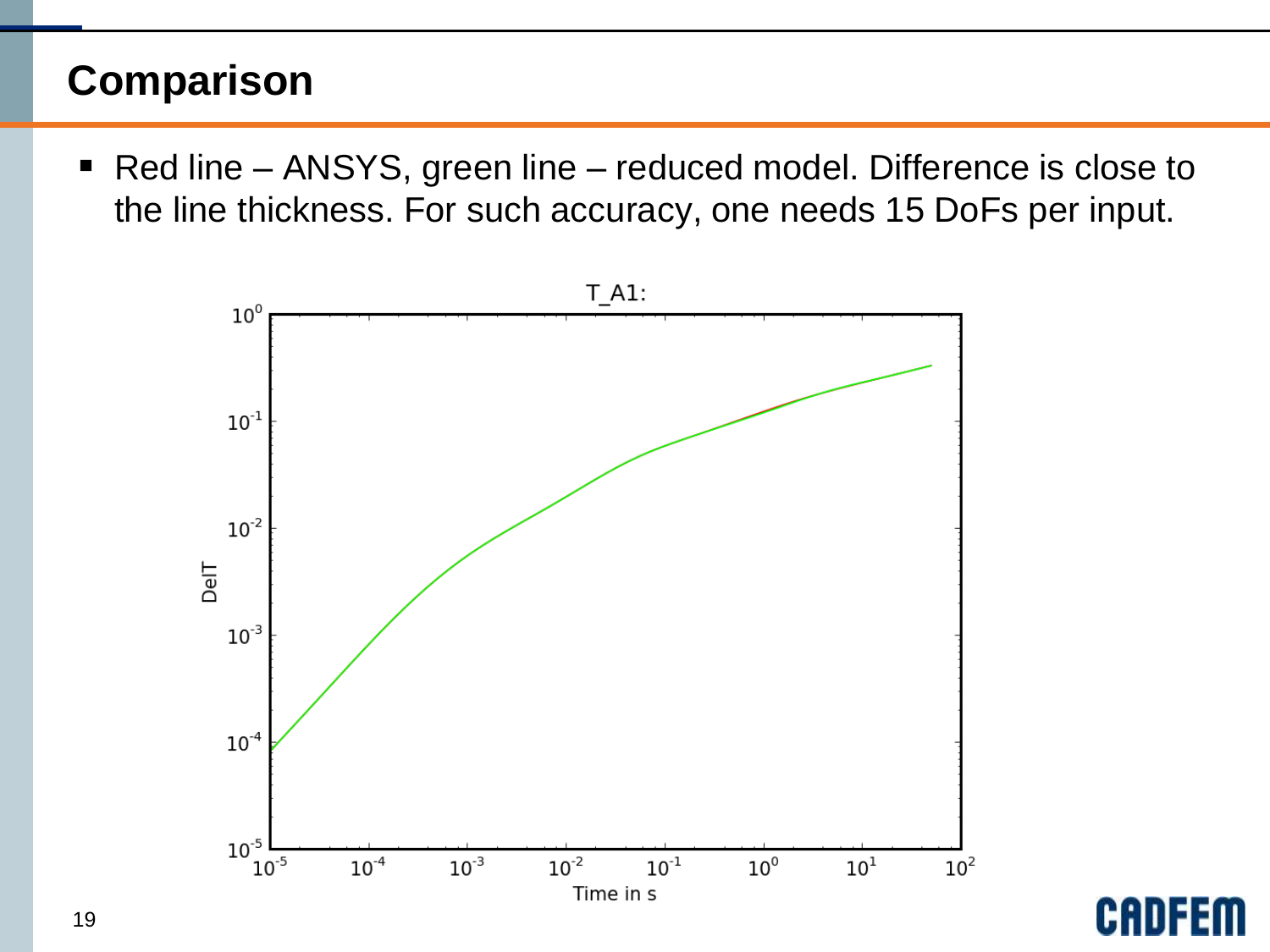#### **Comparison**

■ Red line – ANSYS, green line – reduced model. Difference is close to the line thickness. For such accuracy, one needs 15 DoFs per input.



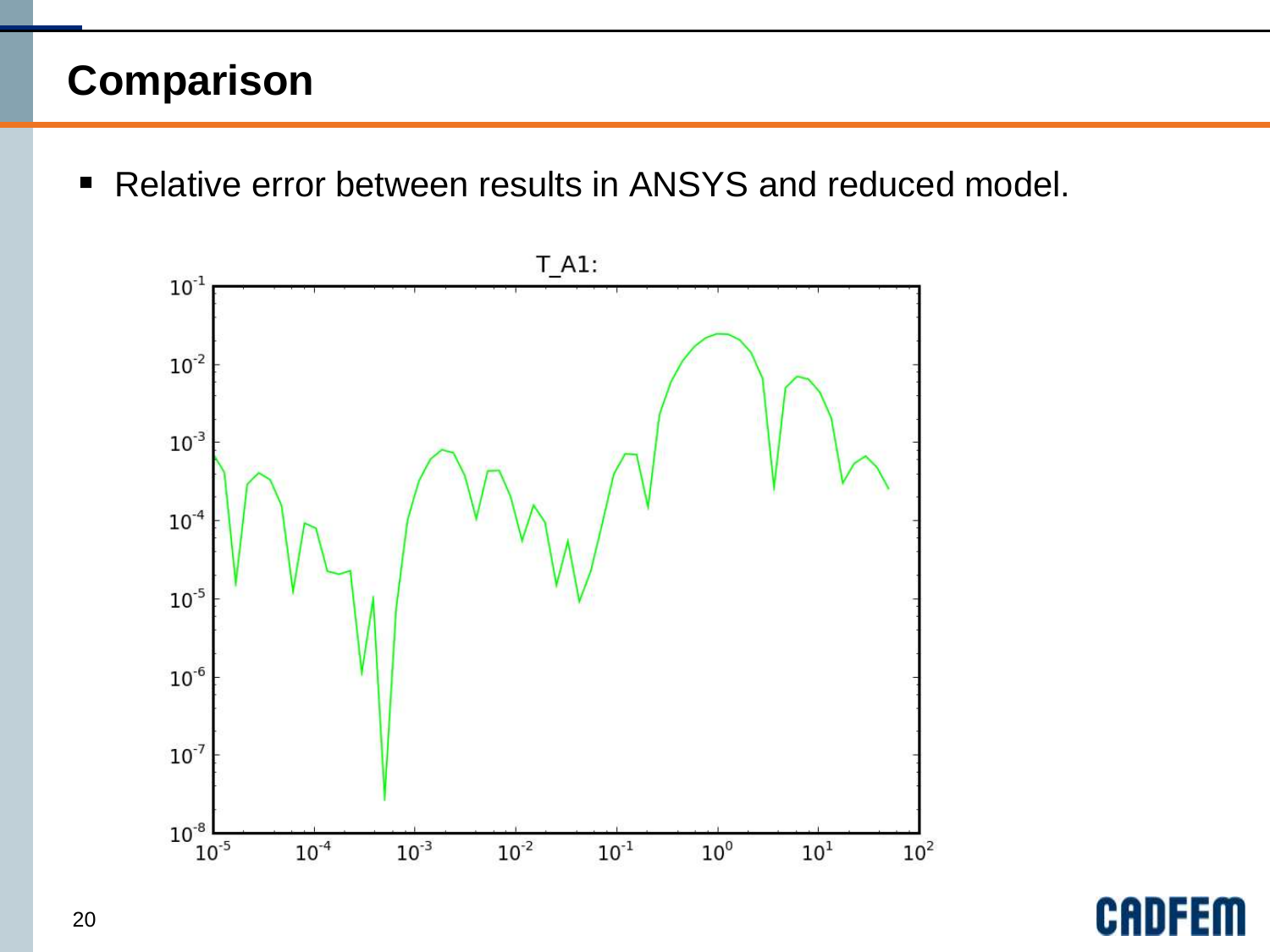### **Comparison**

■ Relative error between results in ANSYS and reduced model.



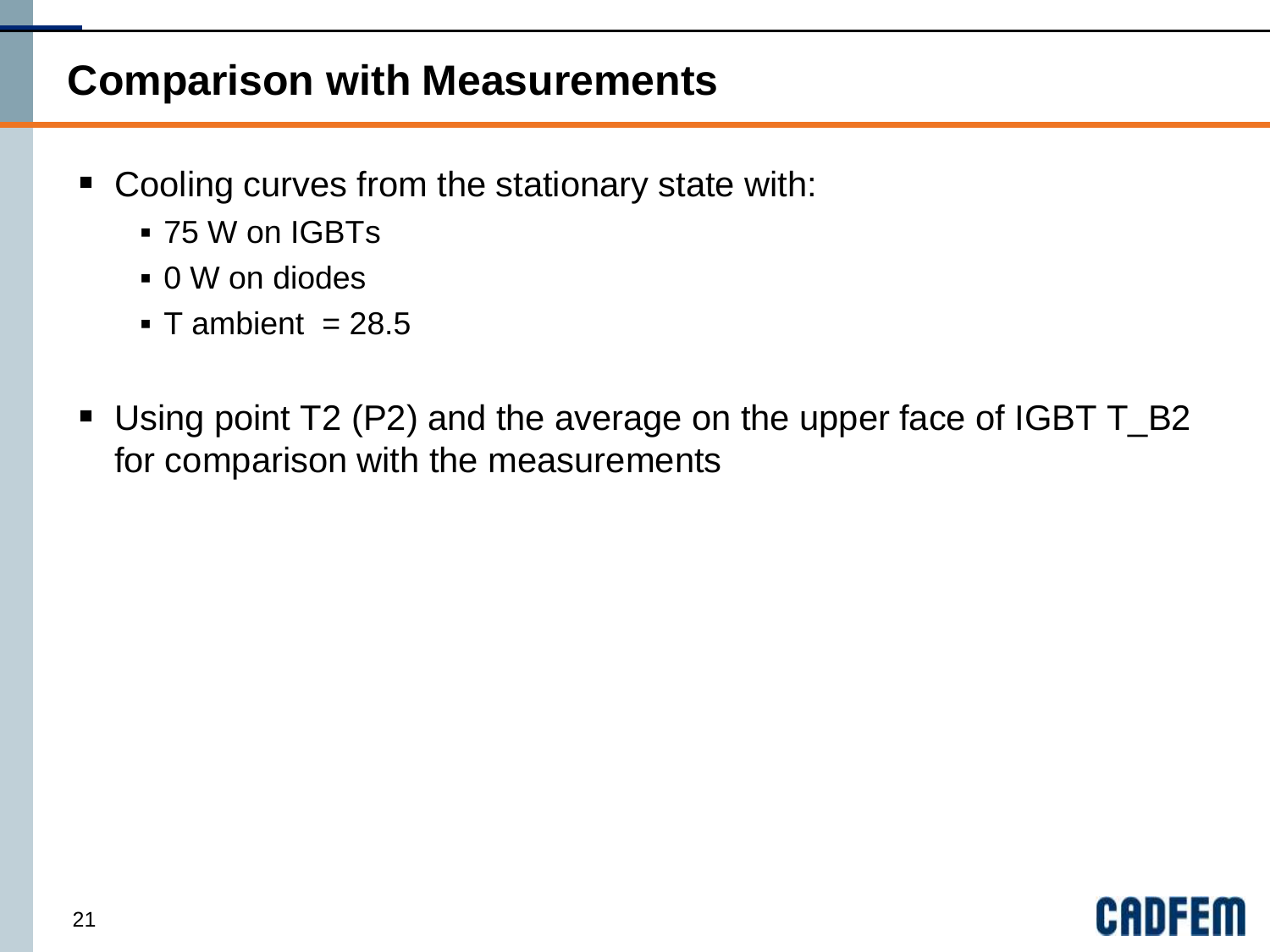#### **Comparison with Measurements**

- Cooling curves from the stationary state with:
	- 75 W on IGBTs
	- 0 W on diodes
	- $\blacksquare$  T ambient = 28.5
- Using point T2 (P2) and the average on the upper face of IGBT T\_B2 for comparison with the measurements

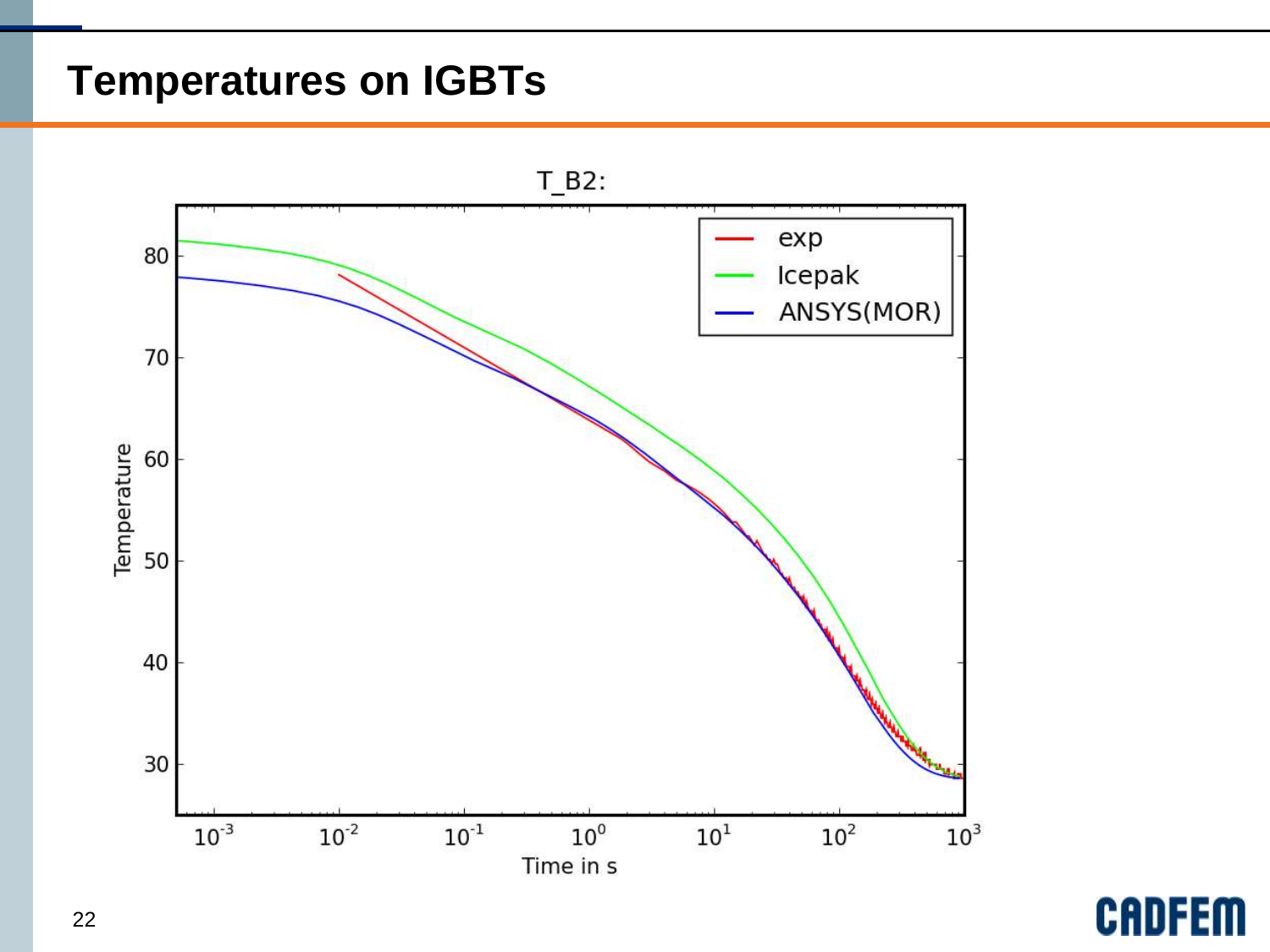#### **Temperatures on IGBTs**



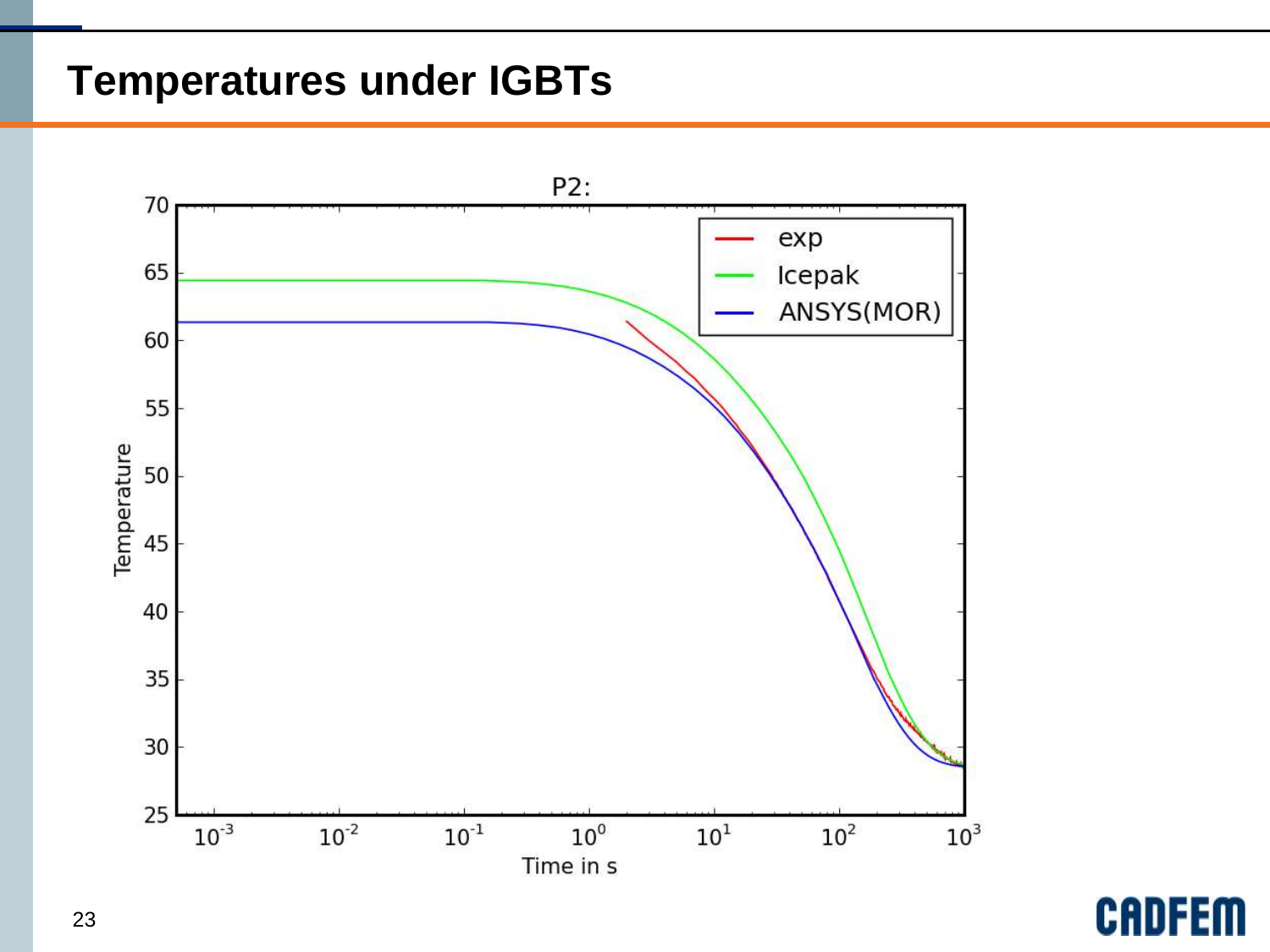#### **Temperatures under IGBTs**



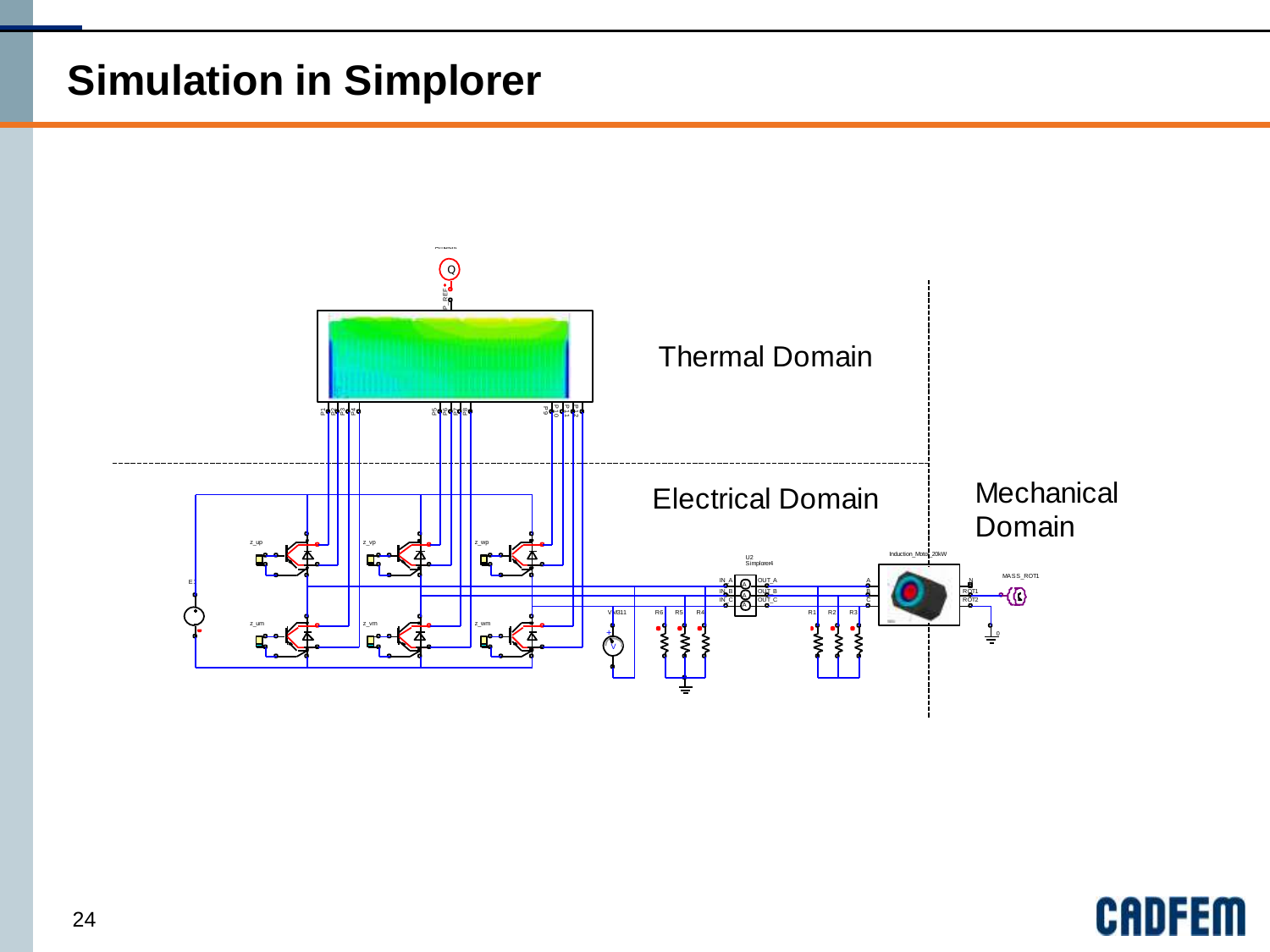### **Simulation in Simplorer**